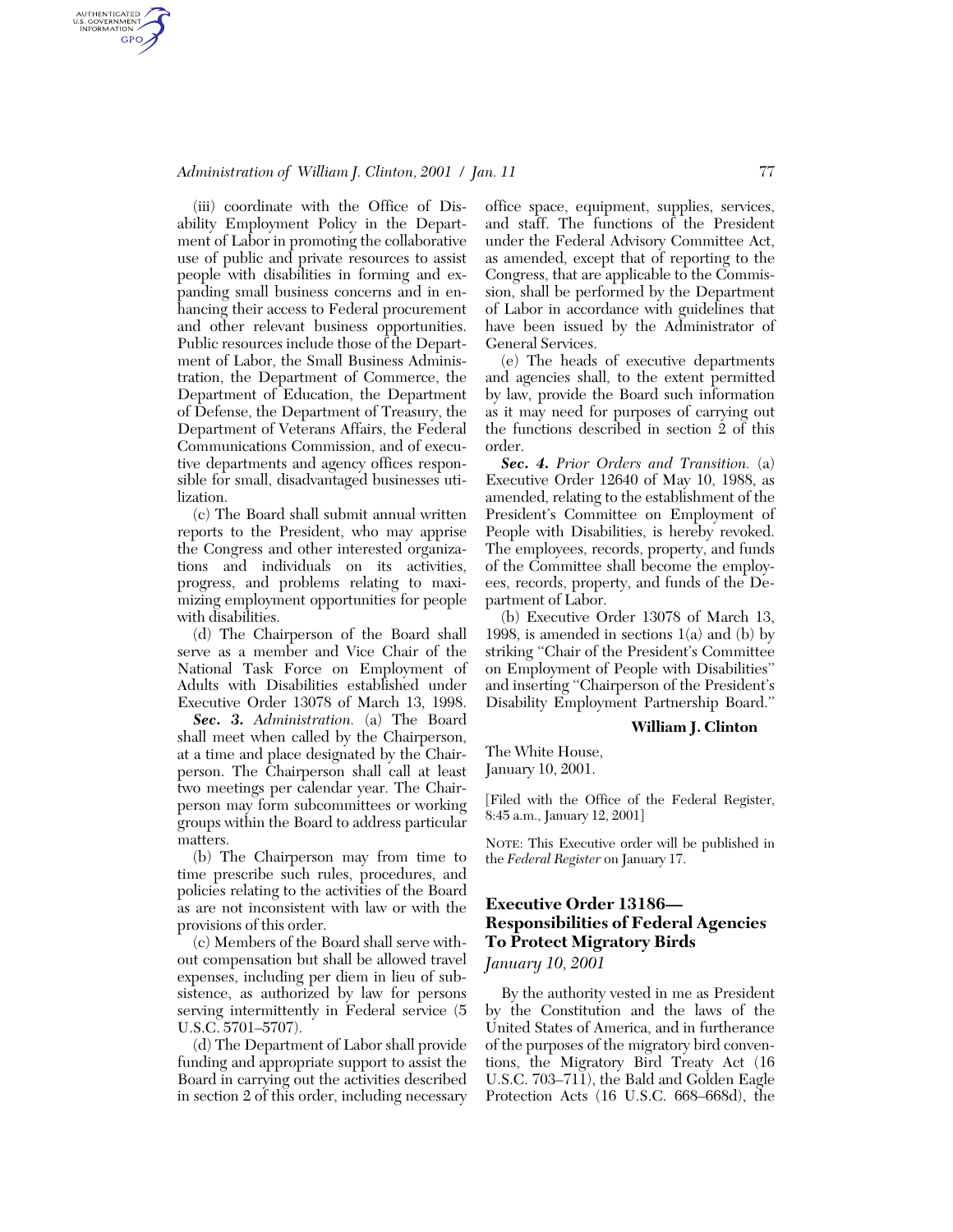### *Administration of William J. Clinton, 2001 / Jan. 11* 77

AUTHENTICATED<br>U.S. GOVERNMENT<br>INFORMATION GPO

> (iii) coordinate with the Office of Disability Employment Policy in the Department of Labor in promoting the collaborative use of public and private resources to assist people with disabilities in forming and expanding small business concerns and in enhancing their access to Federal procurement and other relevant business opportunities. Public resources include those of the Department of Labor, the Small Business Administration, the Department of Commerce, the Department of Education, the Department of Defense, the Department of Treasury, the Department of Veterans Affairs, the Federal Communications Commission, and of executive departments and agency offices responsible for small, disadvantaged businesses utilization.

> (c) The Board shall submit annual written reports to the President, who may apprise the Congress and other interested organizations and individuals on its activities, progress, and problems relating to maximizing employment opportunities for people with disabilities.

> (d) The Chairperson of the Board shall serve as a member and Vice Chair of the National Task Force on Employment of Adults with Disabilities established under Executive Order 13078 of March 13, 1998.

> *Sec. 3. Administration.* (a) The Board shall meet when called by the Chairperson, at a time and place designated by the Chairperson. The Chairperson shall call at least two meetings per calendar year. The Chairperson may form subcommittees or working groups within the Board to address particular matters.

> (b) The Chairperson may from time to time prescribe such rules, procedures, and policies relating to the activities of the Board as are not inconsistent with law or with the provisions of this order.

> (c) Members of the Board shall serve without compensation but shall be allowed travel expenses, including per diem in lieu of subsistence, as authorized by law for persons serving intermittently in Federal service (5 U.S.C. 5701–5707).

> (d) The Department of Labor shall provide funding and appropriate support to assist the Board in carrying out the activities described in section 2 of this order, including necessary

office space, equipment, supplies, services, and staff. The functions of the President under the Federal Advisory Committee Act, as amended, except that of reporting to the Congress, that are applicable to the Commission, shall be performed by the Department of Labor in accordance with guidelines that have been issued by the Administrator of General Services.

(e) The heads of executive departments and agencies shall, to the extent permitted by law, provide the Board such information as it may need for purposes of carrying out the functions described in section 2 of this order.

*Sec. 4. Prior Orders and Transition.* (a) Executive Order 12640 of May 10, 1988, as amended, relating to the establishment of the President's Committee on Employment of People with Disabilities, is hereby revoked. The employees, records, property, and funds of the Committee shall become the employees, records, property, and funds of the Department of Labor.

(b) Executive Order 13078 of March 13, 1998, is amended in sections  $1(a)$  and (b) by striking ''Chair of the President's Committee on Employment of People with Disabilities'' and inserting ''Chairperson of the President's Disability Employment Partnership Board.''

### **William J. Clinton**

The White House, January 10, 2001.

[Filed with the Office of the Federal Register, 8:45 a.m., January 12, 2001]

NOTE: This Executive order will be published in the *Federal Register* on January 17.

# **Executive Order 13186— Responsibilities of Federal Agencies To Protect Migratory Birds**

*January 10, 2001*

By the authority vested in me as President by the Constitution and the laws of the United States of America, and in furtherance of the purposes of the migratory bird conventions, the Migratory Bird Treaty Act (16 U.S.C. 703–711), the Bald and Golden Eagle Protection Acts (16 U.S.C. 668–668d), the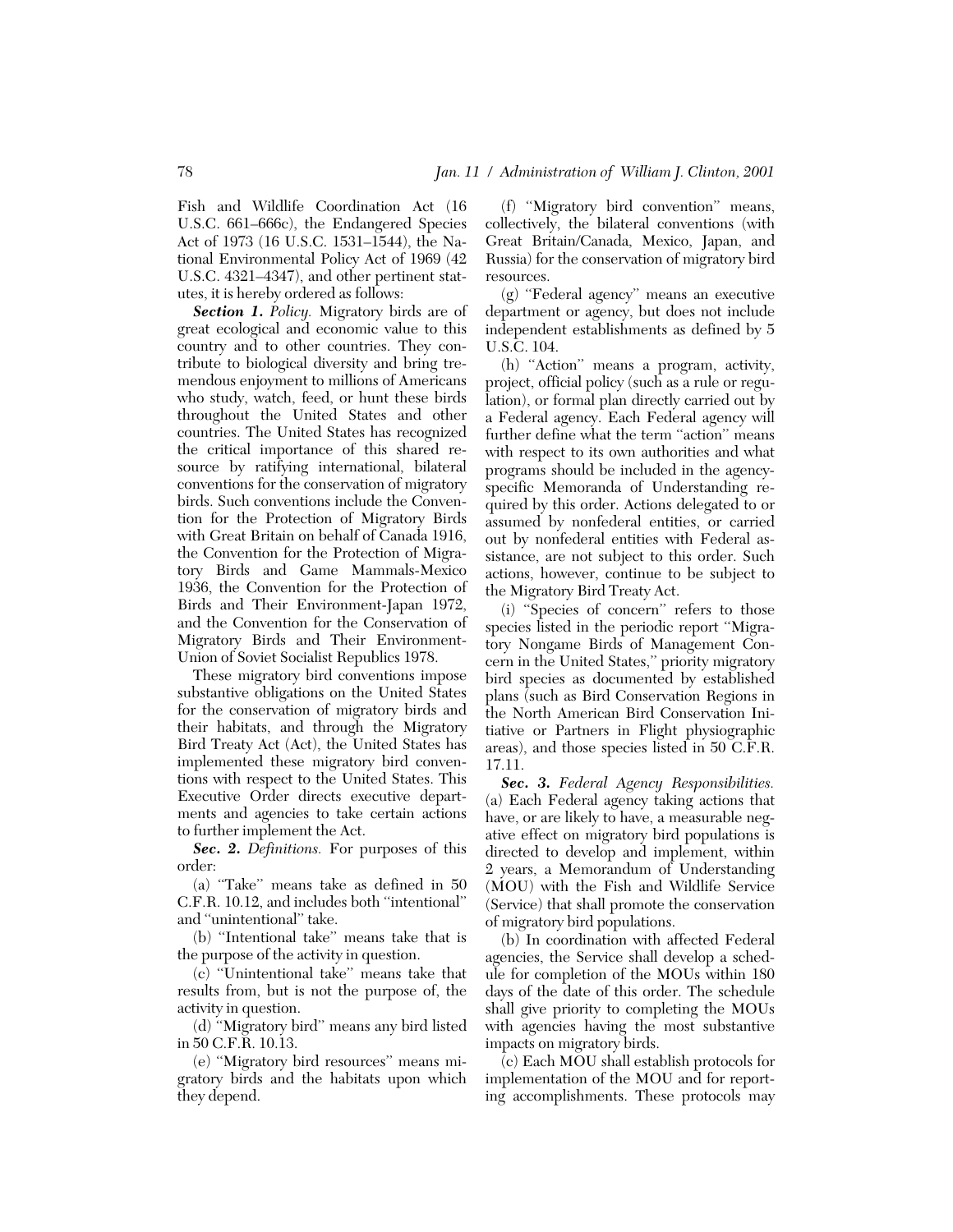Fish and Wildlife Coordination Act (16 U.S.C. 661–666c), the Endangered Species Act of 1973 (16 U.S.C. 1531–1544), the National Environmental Policy Act of 1969 (42 U.S.C. 4321–4347), and other pertinent statutes, it is hereby ordered as follows:

*Section 1. Policy.* Migratory birds are of great ecological and economic value to this country and to other countries. They contribute to biological diversity and bring tremendous enjoyment to millions of Americans who study, watch, feed, or hunt these birds throughout the United States and other countries. The United States has recognized the critical importance of this shared resource by ratifying international, bilateral conventions for the conservation of migratory birds. Such conventions include the Convention for the Protection of Migratory Birds with Great Britain on behalf of Canada 1916, the Convention for the Protection of Migratory Birds and Game Mammals-Mexico 1936, the Convention for the Protection of Birds and Their Environment-Japan 1972, and the Convention for the Conservation of Migratory Birds and Their Environment-Union of Soviet Socialist Republics 1978.

These migratory bird conventions impose substantive obligations on the United States for the conservation of migratory birds and their habitats, and through the Migratory Bird Treaty Act (Act), the United States has implemented these migratory bird conventions with respect to the United States. This Executive Order directs executive departments and agencies to take certain actions to further implement the Act.

*Sec. 2. Definitions.* For purposes of this order:

(a) ''Take'' means take as defined in 50 C.F.R. 10.12, and includes both ''intentional'' and ''unintentional'' take.

(b) ''Intentional take'' means take that is the purpose of the activity in question.

(c) ''Unintentional take'' means take that results from, but is not the purpose of, the activity in question.

(d) ''Migratory bird'' means any bird listed in 50 C.F.R. 10.13.

(e) ''Migratory bird resources'' means migratory birds and the habitats upon which they depend.

(f) ''Migratory bird convention'' means, collectively, the bilateral conventions (with Great Britain/Canada, Mexico, Japan, and Russia) for the conservation of migratory bird resources.

(g) ''Federal agency'' means an executive department or agency, but does not include independent establishments as defined by 5 U.S.C. 104.

(h) "Action" means a program, activity, project, official policy (such as a rule or regulation), or formal plan directly carried out by a Federal agency. Each Federal agency will further define what the term "action" means with respect to its own authorities and what programs should be included in the agencyspecific Memoranda of Understanding required by this order. Actions delegated to or assumed by nonfederal entities, or carried out by nonfederal entities with Federal assistance, are not subject to this order. Such actions, however, continue to be subject to the Migratory Bird Treaty Act.

(i) ''Species of concern'' refers to those species listed in the periodic report ''Migratory Nongame Birds of Management Concern in the United States,'' priority migratory bird species as documented by established plans (such as Bird Conservation Regions in the North American Bird Conservation Initiative or Partners in Flight physiographic areas), and those species listed in 50 C.F.R. 17.11.

*Sec. 3. Federal Agency Responsibilities.* (a) Each Federal agency taking actions that have, or are likely to have, a measurable negative effect on migratory bird populations is directed to develop and implement, within 2 years, a Memorandum of Understanding (MOU) with the Fish and Wildlife Service (Service) that shall promote the conservation of migratory bird populations.

(b) In coordination with affected Federal agencies, the Service shall develop a schedule for completion of the MOUs within 180 days of the date of this order. The schedule shall give priority to completing the MOUs with agencies having the most substantive impacts on migratory birds.

(c) Each MOU shall establish protocols for implementation of the MOU and for reporting accomplishments. These protocols may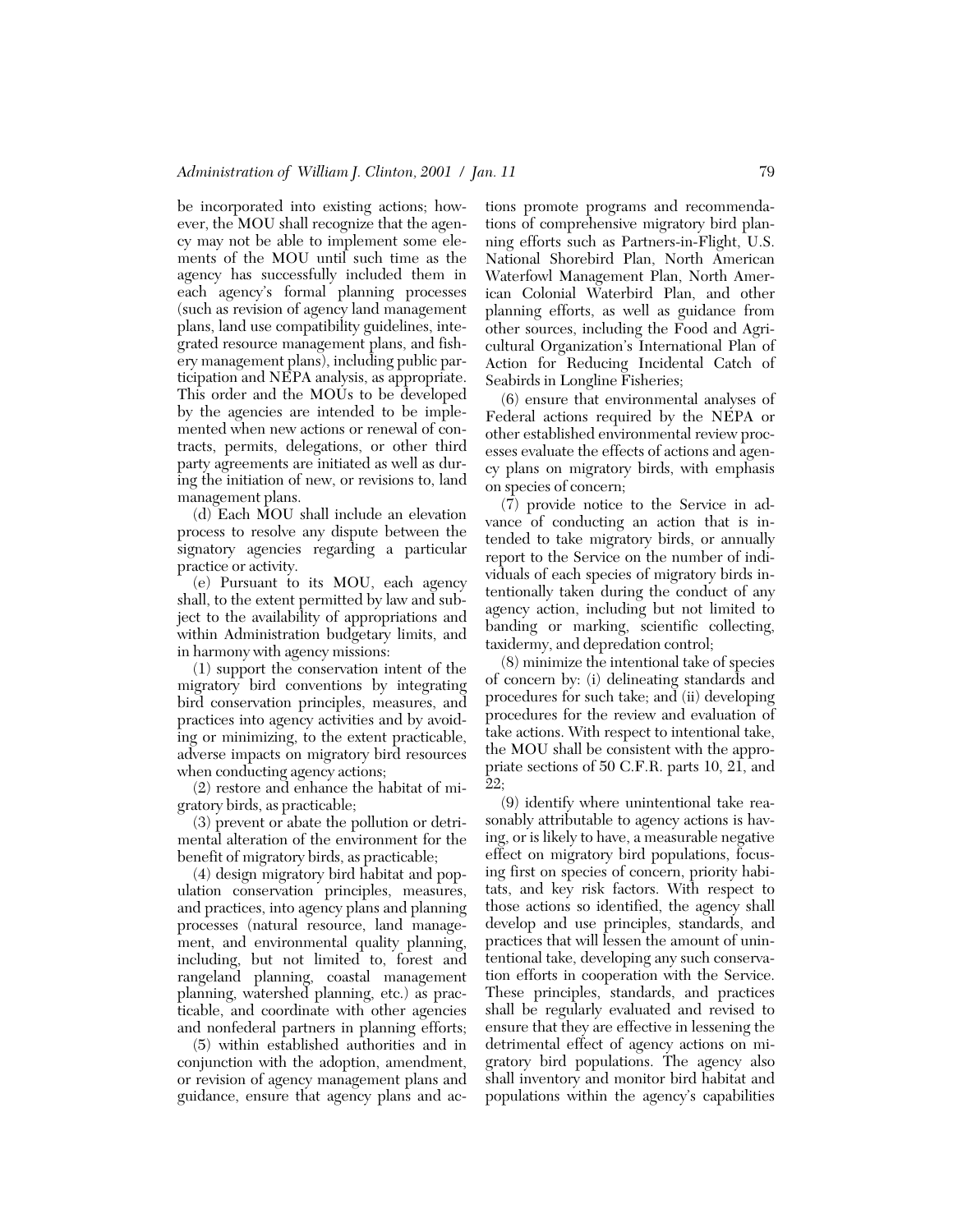be incorporated into existing actions; however, the MOU shall recognize that the agency may not be able to implement some elements of the MOU until such time as the agency has successfully included them in each agency's formal planning processes (such as revision of agency land management plans, land use compatibility guidelines, integrated resource management plans, and fishery management plans), including public participation and NEPA analysis, as appropriate. This order and the MOUs to be developed by the agencies are intended to be implemented when new actions or renewal of contracts, permits, delegations, or other third party agreements are initiated as well as during the initiation of new, or revisions to, land management plans.

(d) Each MOU shall include an elevation process to resolve any dispute between the signatory agencies regarding a particular practice or activity.

(e) Pursuant to its MOU, each agency shall, to the extent permitted by law and subject to the availability of appropriations and within Administration budgetary limits, and in harmony with agency missions:

(1) support the conservation intent of the migratory bird conventions by integrating bird conservation principles, measures, and practices into agency activities and by avoiding or minimizing, to the extent practicable, adverse impacts on migratory bird resources when conducting agency actions;

(2) restore and enhance the habitat of migratory birds, as practicable;

(3) prevent or abate the pollution or detrimental alteration of the environment for the benefit of migratory birds, as practicable;

(4) design migratory bird habitat and population conservation principles, measures, and practices, into agency plans and planning processes (natural resource, land management, and environmental quality planning, including, but not limited to, forest and rangeland planning, coastal management planning, watershed planning, etc.) as practicable, and coordinate with other agencies and nonfederal partners in planning efforts;

(5) within established authorities and in conjunction with the adoption, amendment, or revision of agency management plans and guidance, ensure that agency plans and ac-

tions promote programs and recommendations of comprehensive migratory bird planning efforts such as Partners-in-Flight, U.S. National Shorebird Plan, North American Waterfowl Management Plan, North American Colonial Waterbird Plan, and other planning efforts, as well as guidance from other sources, including the Food and Agricultural Organization's International Plan of Action for Reducing Incidental Catch of Seabirds in Longline Fisheries;

(6) ensure that environmental analyses of Federal actions required by the NEPA or other established environmental review processes evaluate the effects of actions and agency plans on migratory birds, with emphasis on species of concern;

(7) provide notice to the Service in advance of conducting an action that is intended to take migratory birds, or annually report to the Service on the number of individuals of each species of migratory birds intentionally taken during the conduct of any agency action, including but not limited to banding or marking, scientific collecting, taxidermy, and depredation control;

(8) minimize the intentional take of species of concern by: (i) delineating standards and procedures for such take; and (ii) developing procedures for the review and evaluation of take actions. With respect to intentional take, the MOU shall be consistent with the appropriate sections of 50 C.F.R. parts 10, 21, and 22;

(9) identify where unintentional take reasonably attributable to agency actions is having, or is likely to have, a measurable negative effect on migratory bird populations, focusing first on species of concern, priority habitats, and key risk factors. With respect to those actions so identified, the agency shall develop and use principles, standards, and practices that will lessen the amount of unintentional take, developing any such conservation efforts in cooperation with the Service. These principles, standards, and practices shall be regularly evaluated and revised to ensure that they are effective in lessening the detrimental effect of agency actions on migratory bird populations. The agency also shall inventory and monitor bird habitat and populations within the agency's capabilities